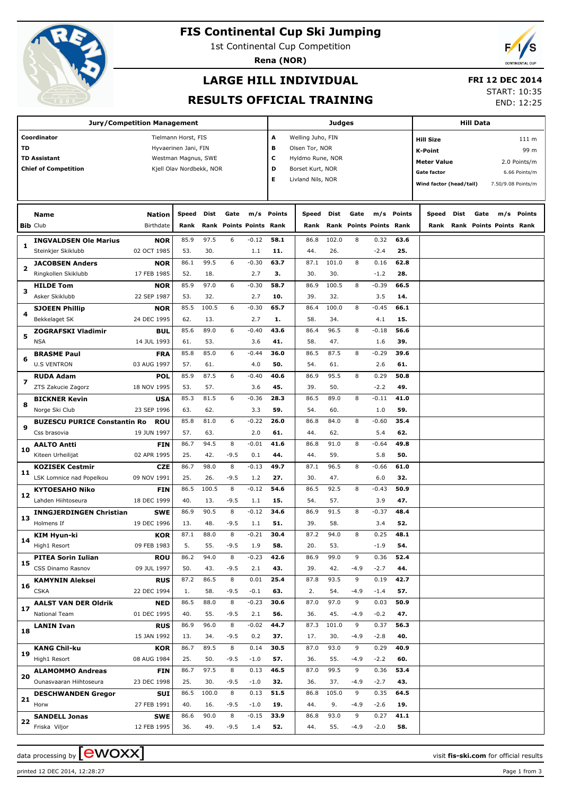

## **FIS Continental Cup Ski Jumping**

1st Continental Cup Competition

**Rena (NOR)**



#### **LARGE HILL INDIVIDUAL**

#### **FRI 12 DEC 2014**

#### **RESULTS OFFICIAL TRAINING**

START: 10:35 END: 12:25

| <b>Jury/Competition Management</b> |                                     |             |                          |       |        |                           |               |                   | <b>Judges</b> |        |                           | <b>Hill Data</b> |                                               |      |      |                         |               |
|------------------------------------|-------------------------------------|-------------|--------------------------|-------|--------|---------------------------|---------------|-------------------|---------------|--------|---------------------------|------------------|-----------------------------------------------|------|------|-------------------------|---------------|
|                                    | Coordinator                         |             | Tielmann Horst, FIS      |       |        |                           | A             | Welling Juho, FIN |               |        |                           |                  | <b>Hill Size</b>                              |      |      |                         | 111 m         |
| TD                                 |                                     |             | Hyvaerinen Jani, FIN     |       |        |                           | в             | Olsen Tor, NOR    |               |        |                           |                  |                                               |      |      |                         | 99 m          |
|                                    | <b>TD Assistant</b>                 |             | Westman Magnus, SWE      |       |        |                           | с             | Hyldmo Rune, NOR  |               |        |                           |                  | <b>K-Point</b>                                |      |      |                         |               |
|                                    | <b>Chief of Competition</b>         |             | Kjell Olav Nordbekk, NOR |       |        |                           | D             | Borset Kurt, NOR  |               |        |                           |                  | <b>Meter Value</b>                            |      |      |                         | 2.0 Points/m  |
|                                    |                                     |             |                          |       |        |                           | Е             | Livland Nils, NOR |               |        |                           |                  | <b>Gate factor</b>                            |      |      |                         | 6.66 Points/m |
|                                    |                                     |             |                          |       |        |                           |               |                   |               |        |                           |                  | Wind factor (head/tail)<br>7.50/9.08 Points/m |      |      |                         |               |
|                                    |                                     |             |                          |       |        |                           |               |                   |               |        |                           |                  |                                               |      |      |                         |               |
|                                    | <b>Name</b>                         | Nation      | Speed                    | Dist  | Gate   | m/s                       | <b>Points</b> | Speed             | Dist          | Gate   | m/s                       | Points           | Speed                                         | Dist | Gate | m/s                     | <b>Points</b> |
| <b>Bib Club</b>                    |                                     | Birthdate   | Rank                     | Rank  |        | <b>Points Points Rank</b> |               | Rank              | Rank          |        | <b>Points Points Rank</b> |                  | Rank                                          |      |      | Rank Points Points Rank |               |
| 1                                  | <b>INGVALDSEN Ole Marius</b>        | <b>NOR</b>  | 85.9                     | 97.5  | 6      | $-0.12$                   | 58.1          | 86.8              | 102.0         | 8      | 0.32                      | 63.6             |                                               |      |      |                         |               |
|                                    | Steinkjer Skiklubb                  | 02 OCT 1985 | 53.                      | 30.   |        | 1.1                       | 11.           | 44.               | 26.           |        | $-2.4$                    | 25.              |                                               |      |      |                         |               |
| 2                                  | <b>JACOBSEN Anders</b>              | NOR         | 86.1                     | 99.5  | 6      | $-0.30$                   | 63.7          | 87.1              | 101.0         | 8      | 0.16                      | 62.8             |                                               |      |      |                         |               |
|                                    | Ringkollen Skiklubb                 | 17 FEB 1985 | 52.                      | 18.   |        | 2.7                       | з.            | 30.               | 30.           |        | $-1.2$                    | 28.              |                                               |      |      |                         |               |
| з                                  | <b>HILDE Tom</b>                    | NOR         | 85.9                     | 97.0  | 6      | $-0.30$                   | 58.7          | 86.9              | 100.5         | 8      | $-0.39$                   | 66.5             |                                               |      |      |                         |               |
|                                    | Asker Skiklubb                      | 22 SEP 1987 | 53.                      | 32.   |        | 2.7                       | 10.           | 39.               | 32.           |        | 3.5                       | 14.              |                                               |      |      |                         |               |
| 4                                  | <b>SJOEEN Phillip</b>               | NOR         | 85.5                     | 100.5 | 6      | $-0.30$                   | 65.7          | 86.4              | 100.0         | 8      | $-0.45$                   | 66.1             |                                               |      |      |                         |               |
|                                    | Bekkelaget SK                       | 24 DEC 1995 | 62.                      | 13.   |        | 2.7                       | 1.            | 58.               | 34.           |        | 4.1                       | 15.              |                                               |      |      |                         |               |
| 5                                  | <b>ZOGRAFSKI Vladimir</b>           | BUL         | 85.6                     | 89.0  | 6      | $-0.40$                   | 43.6          | 86.4              | 96.5          | 8      | $-0.18$                   | 56.6             |                                               |      |      |                         |               |
|                                    | <b>NSA</b>                          | 14 JUL 1993 | 61.                      | 53.   |        | 3.6                       | 41.           | 58.               | 47.           |        | 1.6                       | 39.              |                                               |      |      |                         |               |
|                                    | <b>BRASME Paul</b>                  | <b>FRA</b>  | 85.8                     | 85.0  | 6      | $-0.44$                   | 36.0          | 86.5              | 87.5          | 8      | $-0.29$                   | 39.6             |                                               |      |      |                         |               |
| 6                                  | <b>U.S VENTRON</b>                  | 03 AUG 1997 | 57.                      | 61.   |        | 4.0                       | 50.           | 54.               | 61.           |        | 2.6                       | 61.              |                                               |      |      |                         |               |
|                                    | <b>RUDA Adam</b>                    | POL         | 85.9                     | 87.5  | 6      | $-0.40$                   | 40.6          | 86.9              | 95.5          | 8      | 0.29                      | 50.8             |                                               |      |      |                         |               |
| 7                                  | ZTS Zakucie Zagorz                  | 18 NOV 1995 | 53.                      | 57.   |        | 3.6                       | 45.           | 39.               | 50.           |        | $-2.2$                    | 49.              |                                               |      |      |                         |               |
|                                    | <b>BICKNER Kevin</b>                | <b>USA</b>  | 85.3                     | 81.5  | 6      | $-0.36$                   | 28.3          | 86.5              | 89.0          | 8      | $-0.11$                   | 41.0             |                                               |      |      |                         |               |
| 8                                  | Norge Ski Club                      | 23 SEP 1996 | 63.                      | 62.   |        | 3.3                       | 59.           | 54.               | 60.           |        | 1.0                       | 59.              |                                               |      |      |                         |               |
|                                    | <b>BUZESCU PURICE Constantin Ro</b> | <b>ROU</b>  | 85.8                     | 81.0  | 6      | $-0.22$                   | 26.0          | 86.8              | 84.0          | 8      | $-0.60$                   | 35.4             |                                               |      |      |                         |               |
| 9                                  | Css brasovia                        | 19 JUN 1997 | 57.                      | 63.   |        | 2.0                       | 61.           | 44.               | 62.           |        | 5.4                       | 62.              |                                               |      |      |                         |               |
|                                    | <b>AALTO Antti</b>                  | <b>FIN</b>  | 86.7                     | 94.5  | 8      | $-0.01$                   | 41.6          | 86.8              | 91.0          | 8      | $-0.64$                   | 49.8             |                                               |      |      |                         |               |
| 10                                 | Kiteen Urheilijat                   | 02 APR 1995 | 25.                      | 42.   | $-9.5$ | 0.1                       | 44.           | 44.               | 59.           |        | 5.8                       | 50.              |                                               |      |      |                         |               |
|                                    | <b>KOZISEK Cestmir</b>              | <b>CZE</b>  | 86.7                     | 98.0  | 8      | $-0.13$                   | 49.7          | 87.1              | 96.5          | 8      | $-0.66$                   | 61.0             |                                               |      |      |                         |               |
| 11                                 | LSK Lomnice nad Popelkou            | 09 NOV 1991 | 25.                      | 26.   | $-9.5$ | 1.2                       | 27.           | 30.               | 47.           |        | 6.0                       | 32.              |                                               |      |      |                         |               |
|                                    | <b>KYTOESAHO Niko</b>               | <b>FIN</b>  | 86.5                     | 100.5 | 8      | $-0.12$                   | 54.6          | 86.5              | 92.5          | 8      | $-0.43$                   | 50.9             |                                               |      |      |                         |               |
| 12                                 | Lahden Hiihtoseura                  | 18 DEC 1999 | 40.                      | 13.   | $-9.5$ | 1.1                       | 15.           | 54.               | 57.           |        | 3.9                       | 47.              |                                               |      |      |                         |               |
|                                    | <b>INNGJERDINGEN Christian</b>      | <b>SWE</b>  | 86.9                     | 90.5  | 8      | $-0.12$                   | 34.6          | 86.9              | 91.5          | 8      | $-0.37$                   | 48.4             |                                               |      |      |                         |               |
| 13                                 | Holmens If                          | 19 DEC 1996 | 13.                      | 48.   | $-9.5$ | 1.1                       | 51.           | 39.               | 58.           |        | 3.4                       | 52.              |                                               |      |      |                         |               |
|                                    | <b>KIM Hyun-ki</b>                  | KOR         | 87.1                     | 88.0  | 8      | $-0.21$                   | 30.4          | 87.2              | 94.0          | 8      | 0.25                      | 48.1             |                                               |      |      |                         |               |
| 14                                 | High1 Resort                        | 09 FEB 1983 | 5.                       | 55.   | $-9.5$ | 1.9                       | 58.           | 20.               | 53.           |        | $-1.9$                    | 54.              |                                               |      |      |                         |               |
|                                    | <b>PITEA Sorin Iulian</b>           | <b>ROU</b>  | 86.2                     | 94.0  | 8      | $-0.23$                   | 42.6          | 86.9              | 99.0          | 9      | 0.36                      | 52.4             |                                               |      |      |                         |               |
| 15                                 | CSS Dinamo Rasnov                   | 09 JUL 1997 | 50.                      | 43.   | $-9.5$ | 2.1                       | 43.           | 39.               | 42.           | $-4.9$ | $-2.7$                    | 44.              |                                               |      |      |                         |               |
|                                    | <b>KAMYNIN Aleksei</b>              | <b>RUS</b>  | 87.2                     | 86.5  | 8      | 0.01                      | 25.4          | 87.8              | 93.5          | 9      | 0.19                      | 42.7             |                                               |      |      |                         |               |
| 16                                 | <b>CSKA</b>                         | 22 DEC 1994 | 1.                       | 58.   | $-9.5$ | $-0.1$                    | 63.           | 2.                | 54.           | $-4.9$ | $-1.4$                    | 57.              |                                               |      |      |                         |               |
|                                    | <b>AALST VAN DER Oldrik</b>         | <b>NED</b>  | 86.5                     | 88.0  | 8      | $-0.23$                   | 30.6          | 87.0              | 97.0          | 9      | 0.03                      | 50.9             |                                               |      |      |                         |               |
| 17                                 | National Team                       | 01 DEC 1995 | 40.                      | 55.   | $-9.5$ | 2.1                       | 56.           | 36.               | 45.           | $-4.9$ | $-0.2$                    | 47.              |                                               |      |      |                         |               |
|                                    | <b>LANIN Ivan</b>                   | <b>RUS</b>  | 86.9                     | 96.0  | 8      | $-0.02$                   | 44.7          | 87.3              | 101.0         | 9      | 0.37                      | 56.3             |                                               |      |      |                         |               |
| 18                                 |                                     | 15 JAN 1992 | 13.                      | 34.   | $-9.5$ | 0.2                       | 37.           | 17.               | 30.           | $-4.9$ | $-2.8$                    | 40.              |                                               |      |      |                         |               |
|                                    | <b>KANG Chil-ku</b>                 | <b>KOR</b>  | 86.7                     | 89.5  | 8      | 0.14                      | 30.5          | 87.0              | 93.0          | 9      | 0.29                      | 40.9             |                                               |      |      |                         |               |
| 19                                 | High1 Resort                        | 08 AUG 1984 | 25.                      | 50.   | $-9.5$ | $-1.0$                    | 57.           | 36.               | 55.           | $-4.9$ | $-2.2$                    | 60.              |                                               |      |      |                         |               |
|                                    | <b>ALAMOMMO Andreas</b>             | <b>FIN</b>  | 86.7                     | 97.5  | 8      | 0.13                      | 46.5          | 87.0              | 99.5          | 9      | 0.36                      | 53.4             |                                               |      |      |                         |               |
| 20                                 | Ounasvaaran Hiihtoseura             | 23 DEC 1998 | 25.                      | 30.   | $-9.5$ | $-1.0$                    | 32.           | 36.               | 37.           | $-4.9$ | $-2.7$                    | 43.              |                                               |      |      |                         |               |
|                                    | <b>DESCHWANDEN Gregor</b>           | <b>SUI</b>  | 86.5                     | 100.0 | 8      | 0.13                      | 51.5          | 86.8              | 105.0         | 9      | 0.35                      | 64.5             |                                               |      |      |                         |               |
| 21                                 | Horw                                | 27 FEB 1991 | 40.                      | 16.   | $-9.5$ | $-1.0$                    | 19.           | 44.               | 9.            | $-4.9$ | $-2.6$                    | 19.              |                                               |      |      |                         |               |
|                                    | <b>SANDELL Jonas</b>                | <b>SWE</b>  | 86.6                     | 90.0  | 8      | $-0.15$                   | 33.9          | 86.8              | 93.0          | 9      | 0.27                      | 41.1             |                                               |      |      |                         |               |
| 22                                 | Friska Viljor                       | 12 FEB 1995 | 36.                      | 49.   | $-9.5$ | 1.4                       | 52.           | 44.               | 55.           | $-4.9$ | $-2.0$                    | 58.              |                                               |      |      |                         |               |
|                                    |                                     |             |                          |       |        |                           |               |                   |               |        |                           |                  |                                               |      |      |                         |               |

data processing by  $\boxed{\text{ewOX}}$ 

printed 12 DEC 2014, 12:28:27 Page 1 from 3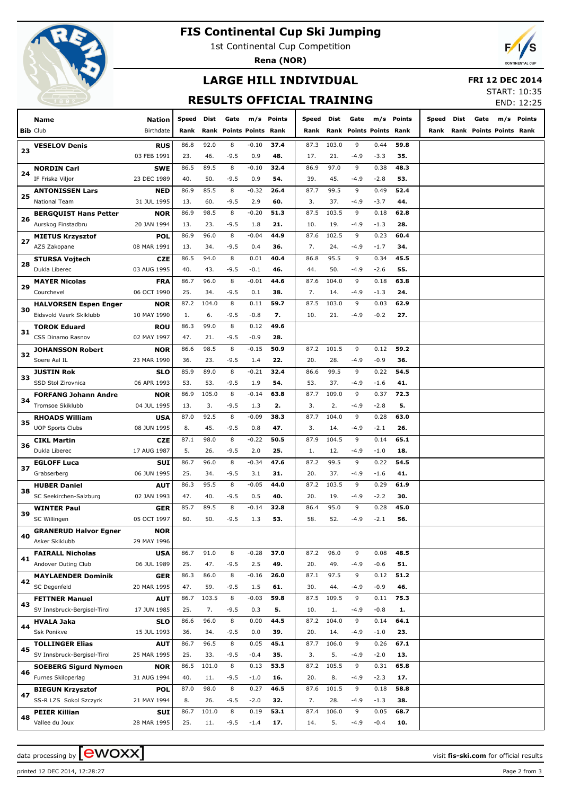

## **FIS Continental Cup Ski Jumping**

1st Continental Cup Competition

**Rena (NOR)**



# **LARGE HILL INDIVIDUAL**

 **FRI 12 DEC 2014**

#### **RESULTS OFFICIAL TRAINING**

START: 10:35 END: 12:25

|    | Name                         | <b>Nation</b> | Speed | Dist  | Gate                      |         | m/s Points | Speed | Dist  | Gate   |                         | m/s Points | Speed | Dist | Gate                    | m/s Points |
|----|------------------------------|---------------|-------|-------|---------------------------|---------|------------|-------|-------|--------|-------------------------|------------|-------|------|-------------------------|------------|
|    | <b>Bib Club</b>              | Birthdate     | Rank  | Rank  | <b>Points Points Rank</b> |         |            | Rank  |       |        | Rank Points Points Rank |            | Rank  |      | Rank Points Points Rank |            |
|    |                              |               | 86.8  | 92.0  | 8                         | $-0.10$ | 37.4       | 87.3  | 103.0 | 9      | 0.44                    | 59.8       |       |      |                         |            |
| 23 | <b>VESELOV Denis</b>         | <b>RUS</b>    |       |       |                           |         |            |       |       |        |                         |            |       |      |                         |            |
|    |                              | 03 FEB 1991   | 23.   | 46.   | $-9.5$                    | 0.9     | 48.        | 17.   | 21.   | $-4.9$ | $-3.3$                  | 35.        |       |      |                         |            |
| 24 | <b>NORDIN Carl</b>           | <b>SWE</b>    | 86.5  | 89.5  | 8                         | $-0.10$ | 32.4       | 86.9  | 97.0  | 9      | 0.38                    | 48.3       |       |      |                         |            |
|    | IF Friska Viljor             | 23 DEC 1989   | 40.   | 50.   | $-9.5$                    | 0.9     | 54.        | 39.   | 45.   | $-4.9$ | $-2.8$                  | 53.        |       |      |                         |            |
| 25 | <b>ANTONISSEN Lars</b>       | <b>NED</b>    | 86.9  | 85.5  | 8                         | $-0.32$ | 26.4       | 87.7  | 99.5  | 9      | 0.49                    | 52.4       |       |      |                         |            |
|    | <b>National Team</b>         | 31 JUL 1995   | 13.   | 60.   | $-9.5$                    | 2.9     | 60.        | 3.    | 37.   | $-4.9$ | $-3.7$                  | 44.        |       |      |                         |            |
|    | <b>BERGQUIST Hans Petter</b> | <b>NOR</b>    | 86.9  | 98.5  | 8                         | $-0.20$ | 51.3       | 87.5  | 103.5 | 9      | 0.18                    | 62.8       |       |      |                         |            |
| 26 | Aurskog Finstadbru           | 20 JAN 1994   | 13.   | 23.   | $-9.5$                    | 1.8     | 21.        | 10.   | 19.   | $-4.9$ | $-1.3$                  | 28.        |       |      |                         |            |
|    | <b>MIETUS Krzysztof</b>      | <b>POL</b>    | 86.9  | 96.0  | 8                         | $-0.04$ | 44.9       | 87.6  | 102.5 | 9      | 0.23                    | 60.4       |       |      |                         |            |
| 27 | AZS Zakopane                 | 08 MAR 1991   | 13.   | 34.   | $-9.5$                    | 0.4     | 36.        | 7.    | 24.   | $-4.9$ | $-1.7$                  | 34.        |       |      |                         |            |
|    | <b>STURSA Vojtech</b>        | <b>CZE</b>    | 86.5  | 94.0  | 8                         | 0.01    | 40.4       | 86.8  | 95.5  | 9      | 0.34                    | 45.5       |       |      |                         |            |
| 28 | Dukla Liberec                | 03 AUG 1995   | 40.   | 43.   | $-9.5$                    | $-0.1$  | 46.        | 44.   | 50.   | $-4.9$ | $-2.6$                  | 55.        |       |      |                         |            |
|    | <b>MAYER Nicolas</b>         | <b>FRA</b>    | 86.7  | 96.0  | 8                         | $-0.01$ | 44.6       | 87.6  | 104.0 | 9      | 0.18                    | 63.8       |       |      |                         |            |
| 29 | Courchevel                   | 06 OCT 1990   | 25.   | 34.   | $-9.5$                    | 0.1     | 38.        | 7.    | 14.   | $-4.9$ | $-1.3$                  | 24.        |       |      |                         |            |
|    |                              |               |       |       |                           |         |            |       |       |        |                         |            |       |      |                         |            |
| 30 | <b>HALVORSEN Espen Enger</b> | <b>NOR</b>    | 87.2  | 104.0 | 8                         | 0.11    | 59.7       | 87.5  | 103.0 | 9      | 0.03                    | 62.9       |       |      |                         |            |
|    | Eidsvold Vaerk Skiklubb      | 10 MAY 1990   | 1.    | 6.    | $-9.5$                    | $-0.8$  | 7.         | 10.   | 21.   | $-4.9$ | $-0.2$                  | 27.        |       |      |                         |            |
| 31 | <b>TOROK Eduard</b>          | <b>ROU</b>    | 86.3  | 99.0  | 8                         | 0.12    | 49.6       |       |       |        |                         |            |       |      |                         |            |
|    | CSS Dinamo Rasnov            | 02 MAY 1997   | 47.   | 21.   | $-9.5$                    | $-0.9$  | 28.        |       |       |        |                         |            |       |      |                         |            |
|    | <b>JOHANSSON Robert</b>      | <b>NOR</b>    | 86.6  | 98.5  | 8                         | $-0.15$ | 50.9       | 87.2  | 101.5 | 9      | 0.12                    | 59.2       |       |      |                         |            |
| 32 | Soere Aal IL                 | 23 MAR 1990   | 36.   | 23.   | -9.5                      | 1.4     | 22.        | 20.   | 28.   | $-4.9$ | $-0.9$                  | 36.        |       |      |                         |            |
|    | <b>JUSTIN Rok</b>            | <b>SLO</b>    | 85.9  | 89.0  | 8                         | $-0.21$ | 32.4       | 86.6  | 99.5  | 9      | 0.22                    | 54.5       |       |      |                         |            |
| 33 | SSD Stol Zirovnica           | 06 APR 1993   | 53.   | 53.   | $-9.5$                    | 1.9     | 54.        | 53.   | 37.   | $-4.9$ | $-1.6$                  | 41.        |       |      |                         |            |
|    | <b>FORFANG Johann Andre</b>  | <b>NOR</b>    | 86.9  | 105.0 | 8                         | $-0.14$ | 63.8       | 87.7  | 109.0 | 9      | 0.37                    | 72.3       |       |      |                         |            |
| 34 | Tromsoe Skiklubb             | 04 JUL 1995   | 13.   | 3.    | $-9.5$                    | 1.3     | 2.         | 3.    | 2.    | $-4.9$ | $-2.8$                  | 5.         |       |      |                         |            |
| 35 | <b>RHOADS William</b>        | <b>USA</b>    | 87.0  | 92.5  | 8                         | $-0.09$ | 38.3       | 87.7  | 104.0 | 9      | 0.28                    | 63.0       |       |      |                         |            |
|    | <b>UOP Sports Clubs</b>      |               | 8.    | 45.   | $-9.5$                    | 0.8     | 47.        | 3.    |       |        |                         |            |       |      |                         |            |
|    |                              | 08 JUN 1995   |       |       |                           |         |            |       | 14.   | $-4.9$ | $-2.1$                  | 26.        |       |      |                         |            |
| 36 | <b>CIKL Martin</b>           | <b>CZE</b>    | 87.1  | 98.0  | 8                         | $-0.22$ | 50.5       | 87.9  | 104.5 | 9      | 0.14                    | 65.1       |       |      |                         |            |
|    | Dukla Liberec                | 17 AUG 1987   | 5.    | 26.   | -9.5                      | 2.0     | 25.        | 1.    | 12.   | $-4.9$ | $-1.0$                  | 18.        |       |      |                         |            |
| 37 | <b>EGLOFF Luca</b>           | <b>SUI</b>    | 86.7  | 96.0  | 8                         | $-0.34$ | 47.6       | 87.2  | 99.5  | 9      | 0.22                    | 54.5       |       |      |                         |            |
|    | Grabserberg                  | 06 JUN 1995   | 25.   | 34.   | $-9.5$                    | 3.1     | 31.        | 20.   | 37.   | $-4.9$ | $-1.6$                  | 41.        |       |      |                         |            |
|    | <b>HUBER Daniel</b>          | <b>AUT</b>    | 86.3  | 95.5  | 8                         | $-0.05$ | 44.0       | 87.2  | 103.5 | 9      | 0.29                    | 61.9       |       |      |                         |            |
| 38 | SC Seekirchen-Salzburg       | 02 JAN 1993   | 47.   | 40.   | -9.5                      | 0.5     | 40.        | 20.   | 19.   | $-4.9$ | $-2.2$                  | 30.        |       |      |                         |            |
|    | <b>WINTER Paul</b>           | <b>GER</b>    | 85.7  | 89.5  | 8                         | $-0.14$ | 32.8       | 86.4  | 95.0  | 9      | 0.28                    | 45.0       |       |      |                         |            |
| 39 | SC Willingen                 | 05 OCT 1997   | 60.   | 50.   | $-9.5$                    | 1.3     | 53.        | 58.   | 52.   | $-4.9$ | $-2.1$                  | 56.        |       |      |                         |            |
|    | <b>GRANERUD Halvor Egner</b> | NOR           |       |       |                           |         |            |       |       |        |                         |            |       |      |                         |            |
| 40 | Asker Skiklubb               | 29 MAY 1996   |       |       |                           |         |            |       |       |        |                         |            |       |      |                         |            |
|    | <b>FAIRALL Nicholas</b>      | <b>USA</b>    | 86.7  | 91.0  | 8                         | $-0.28$ | 37.0       | 87.2  | 96.0  | 9      | 0.08                    | 48.5       |       |      |                         |            |
| 41 | Andover Outing Club          | 06 JUL 1989   | 25.   | 47.   | $-9.5$                    | 2.5     | 49.        | 20.   | 49.   | $-4.9$ | $-0.6$                  | 51.        |       |      |                         |            |
|    |                              |               |       | 86.0  | 8                         | $-0.16$ | 26.0       | 87.1  | 97.5  |        | 0.12                    | 51.2       |       |      |                         |            |
| 42 | <b>MAYLAENDER Dominik</b>    | <b>GER</b>    | 86.3  |       |                           |         |            |       |       | 9      |                         |            |       |      |                         |            |
|    | SC Degenfeld                 | 20 MAR 1995   | 47.   | 59.   | $-9.5$                    | 1.5     | 61.        | 30.   | 44.   | $-4.9$ | $-0.9$                  | 46.        |       |      |                         |            |
| 43 | <b>FETTNER Manuel</b>        | <b>AUT</b>    | 86.7  | 103.5 | 8                         | $-0.03$ | 59.8       | 87.5  | 109.5 | 9      | 0.11                    | 75.3       |       |      |                         |            |
|    | SV Innsbruck-Bergisel-Tirol  | 17 JUN 1985   | 25.   | 7.    | $-9.5$                    | 0.3     | 5.         | 10.   | 1.    | $-4.9$ | $-0.8$                  | 1.         |       |      |                         |            |
| 44 | <b>HVALA Jaka</b>            | <b>SLO</b>    | 86.6  | 96.0  | 8                         | 0.00    | 44.5       | 87.2  | 104.0 | 9      | 0.14                    | 64.1       |       |      |                         |            |
|    | Ssk Ponikve                  | 15 JUL 1993   | 36.   | 34.   | $-9.5$                    | 0.0     | 39.        | 20.   | 14.   | $-4.9$ | $-1.0$                  | 23.        |       |      |                         |            |
|    | <b>TOLLINGER Elias</b>       | <b>AUT</b>    | 86.7  | 96.5  | 8                         | 0.05    | 45.1       | 87.7  | 106.0 | 9      | 0.26                    | 67.1       |       |      |                         |            |
| 45 | SV Innsbruck-Bergisel-Tirol  | 25 MAR 1995   | 25.   | 33.   | $-9.5$                    | $-0.4$  | 35.        | 3.    | 5.    | $-4.9$ | $-2.0$                  | 13.        |       |      |                         |            |
|    | <b>SOEBERG Sigurd Nymoen</b> | <b>NOR</b>    | 86.5  | 101.0 | 8                         | 0.13    | 53.5       | 87.2  | 105.5 | 9      | 0.31                    | 65.8       |       |      |                         |            |
| 46 | Furnes Skiloperlag           | 31 AUG 1994   | 40.   | 11.   | $-9.5$                    | $-1.0$  | 16.        | 20.   | 8.    | $-4.9$ | $-2.3$                  | 17.        |       |      |                         |            |
|    | <b>BIEGUN Krzysztof</b>      | <b>POL</b>    | 87.0  | 98.0  | 8                         | 0.27    | 46.5       | 87.6  | 101.5 | 9      | 0.18                    | 58.8       |       |      |                         |            |
| 47 | SS-R LZS Sokol Szczyrk       | 21 MAY 1994   | 8.    | 26.   | $-9.5$                    | $-2.0$  | 32.        | 7.    | 28.   | $-4.9$ | $-1.3$                  | 38.        |       |      |                         |            |
|    |                              | <b>SUI</b>    | 86.7  | 101.0 | 8                         | 0.19    | 53.1       | 87.4  | 106.0 | 9      | 0.05                    | 68.7       |       |      |                         |            |
| 48 | <b>PEIER Killian</b>         |               |       |       |                           |         |            |       |       |        |                         |            |       |      |                         |            |
|    | Vallee du Joux               | 28 MAR 1995   | 25.   | 11.   | $-9.5$                    | $-1.4$  | 17.        | 14.   | 5.    | $-4.9$ | $-0.4$                  | 10.        |       |      |                         |            |

printed 12 DEC 2014, 12:28:27 Page 2 from 3

data processing by **CWOXX** and  $\overline{A}$  wisit **fis-ski.com** for official results